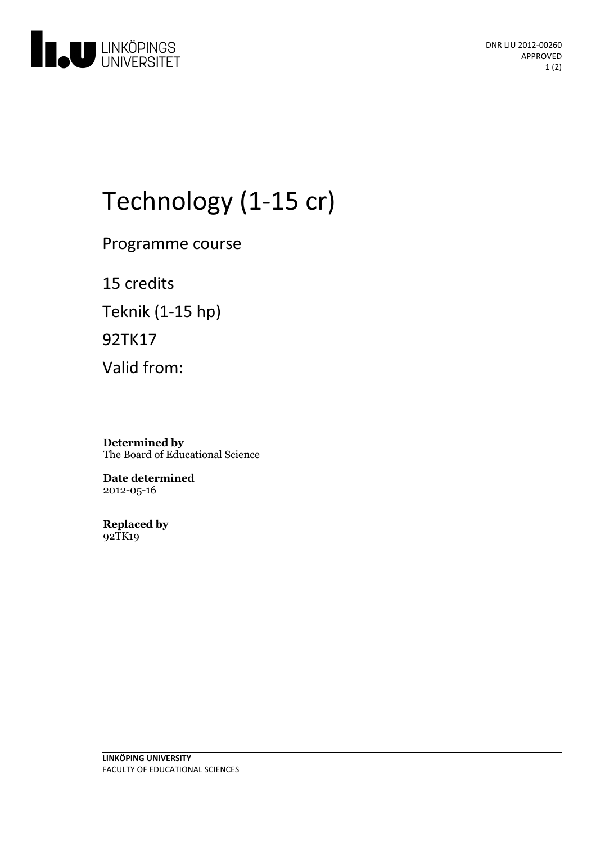

# Technology (1-15 cr)

Programme course

15 credits Teknik (1-15 hp) 92TK17 Valid from:

**Determined by** The Board of Educational Science

**Date determined** 2012-05-16

**Replaced by** 92TK19